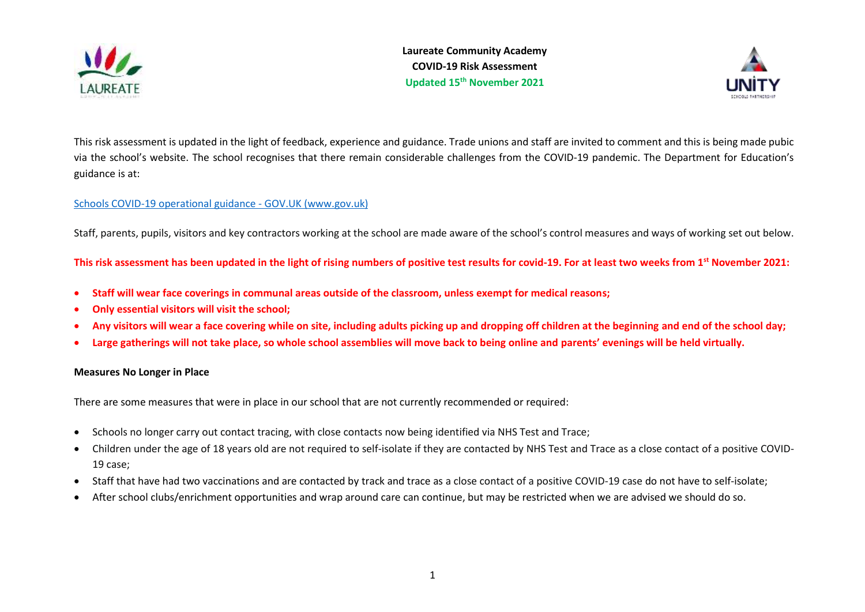

**Laureate Community Academy COVID-19 Risk Assessment Updated 15th November 2021**



This risk assessment is updated in the light of feedback, experience and guidance. Trade unions and staff are invited to comment and this is being made pubic via the school's website. The school recognises that there remain considerable challenges from the COVID-19 pandemic. The Department for Education's guidance is at:

# [Schools COVID-19 operational guidance -](https://www.gov.uk/government/publications/actions-for-schools-during-the-coronavirus-outbreak/schools-covid-19-operational-guidance?utm_source=19%20July%202021%20C19&utm_medium=Daily%20Email%20C19&utm_campaign=DfE%20C19) GOV.UK (www.gov.uk)

Staff, parents, pupils, visitors and key contractors working at the school are made aware of the school's control measures and ways of working set out below.

**This risk assessment has been updated in the light of rising numbers of positive test results for covid-19. For at least two weeks from 1st November 2021:** 

- **Staff will wear face coverings in communal areas outside of the classroom, unless exempt for medical reasons;**
- **Only essential visitors will visit the school;**
- **Any visitors will wear a face covering while on site, including adults picking up and dropping off children at the beginning and end of the school day;**
- **Large gatherings will not take place, so whole school assemblies will move back to being online and parents' evenings will be held virtually.**

### **Measures No Longer in Place**

There are some measures that were in place in our school that are not currently recommended or required:

- Schools no longer carry out contact tracing, with close contacts now being identified via NHS Test and Trace;
- Children under the age of 18 years old are not required to self-isolate if they are contacted by NHS Test and Trace as a close contact of a positive COVID-19 case;
- Staff that have had two vaccinations and are contacted by track and trace as a close contact of a positive COVID-19 case do not have to self-isolate;
- After school clubs/enrichment opportunities and wrap around care can continue, but may be restricted when we are advised we should do so.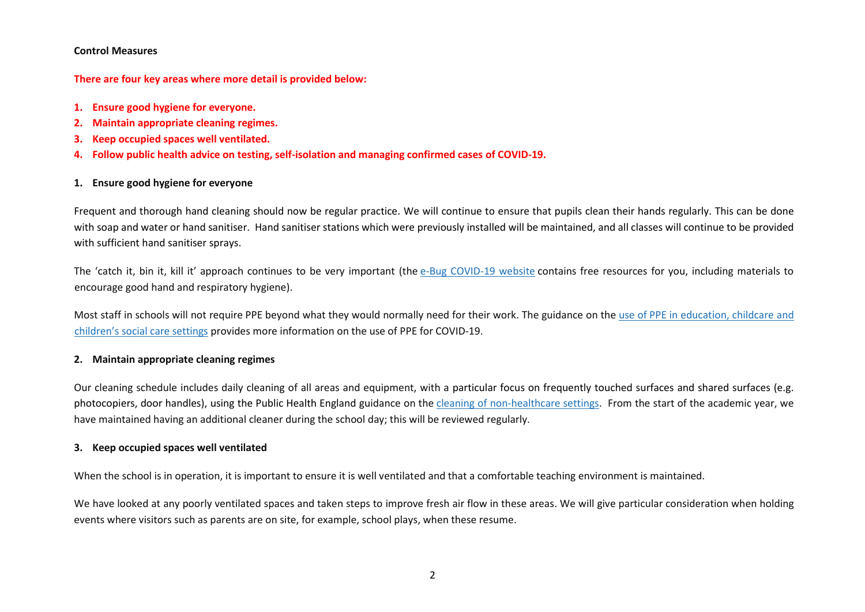#### **Control Measures**

**There are four key areas where more detail is provided below:**

- **1. Ensure good hygiene for everyone.**
- **2. Maintain appropriate cleaning regimes.**
- **3. Keep occupied spaces well ventilated.**
- **4. Follow public health advice on testing, self-isolation and managing confirmed cases of COVID-19.**

# **1. Ensure good hygiene for everyone**

Frequent and thorough hand cleaning should now be regular practice. We will continue to ensure that pupils clean their hands regularly. This can be done with soap and water or hand sanitiser. Hand sanitiser stations which were previously installed will be maintained, and all classes will continue to be provided with sufficient hand sanitiser sprays.

The 'catch it, bin it, kill it' approach continues to be very important (the e-Bug [COVID-19](https://e-bug.eu/eng_home.aspx?cc=eng&ss=1&t=Information%20about%20the%20Coronavirus) website contains free resources for you, including materials to encourage good hand and respiratory hygiene).

Most staff in schools will not require PPE beyond what they would normally need for their work. The guidance on the use of PPE in [education,](https://www.gov.uk/government/publications/safe-working-in-education-childcare-and-childrens-social-care) childcare and [children's](https://www.gov.uk/government/publications/safe-working-in-education-childcare-and-childrens-social-care) social care settings provides more information on the use of PPE for COVID-19.

# **2. Maintain appropriate cleaning regimes**

Our cleaning schedule includes daily cleaning of all areas and equipment, with a particular focus on frequently touched surfaces and shared surfaces (e.g. photocopiers, door handles), using the Public Health England guidance on the cleaning of [non-healthcare](https://www.gov.uk/government/publications/covid-19-decontamination-in-non-healthcare-settings) settings. From the start of the academic year, we have maintained having an additional cleaner during the school day; this will be reviewed regularly.

# **3. Keep occupied spaces well ventilated**

When the school is in operation, it is important to ensure it is well ventilated and that a comfortable teaching environment is maintained.

We have looked at any poorly ventilated spaces and taken steps to improve fresh air flow in these areas. We will give particular consideration when holding events where visitors such as parents are on site, for example, school plays, when these resume.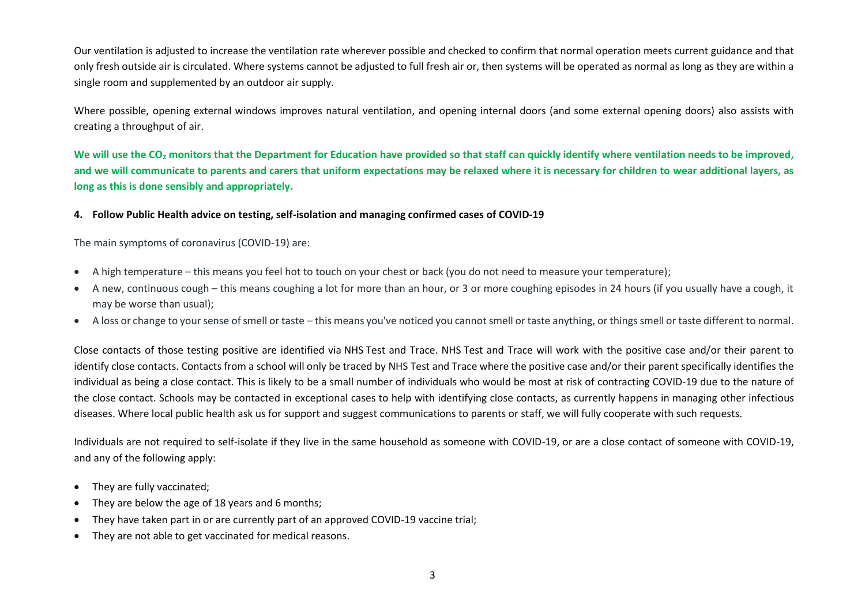Our ventilation is adjusted to increase the ventilation rate wherever possible and checked to confirm that normal operation meets current guidance and that only fresh outside air is circulated. Where systems cannot be adjusted to full fresh air or, then systems will be operated as normal as long as they are within a single room and supplemented by an outdoor air supply.

Where possible, opening external windows improves natural ventilation, and opening internal doors (and some external opening doors) also assists with creating a throughput of air.

**We will use the CO<sup>2</sup> monitors that the Department for Education have provided so that staff can quickly identify where ventilation needs to be improved, and we will communicate to parents and carers that uniform expectations may be relaxed where it is necessary for children to wear additional layers, as long as this is done sensibly and appropriately.**

### **4. Follow Public Health advice on testing, self-isolation and managing confirmed cases of COVID-19**

The main symptoms of coronavirus (COVID-19) are:

- A high temperature this means you feel hot to touch on your chest or back (you do not need to measure your temperature);
- A new, continuous cough this means coughing a lot for more than an hour, or 3 or more coughing episodes in 24 hours (if you usually have a cough, it may be worse than usual);
- A loss or change to your sense of smell or taste this means you've noticed you cannot smell or taste anything, or things smell or taste different to normal.

Close contacts of those testing positive are identified via NHS Test and Trace. NHS Test and Trace will work with the positive case and/or their parent to identify close contacts. Contacts from a school will only be traced by NHS Test and Trace where the positive case and/or their parent specifically identifies the individual as being a close contact. This is likely to be a small number of individuals who would be most at risk of contracting COVID-19 due to the nature of the close contact. Schools may be contacted in exceptional cases to help with identifying close contacts, as currently happens in managing other infectious diseases. Where local public health ask us for support and suggest communications to parents or staff, we will fully cooperate with such requests.

Individuals are not required to self-isolate if they live in the same household as someone with COVID-19, or are a close contact of someone with COVID-19, and any of the following apply:

- They are fully vaccinated;
- They are below the age of 18 years and 6 months;
- They have taken part in or are currently part of an approved COVID-19 vaccine trial;
- They are not able to get vaccinated for medical reasons.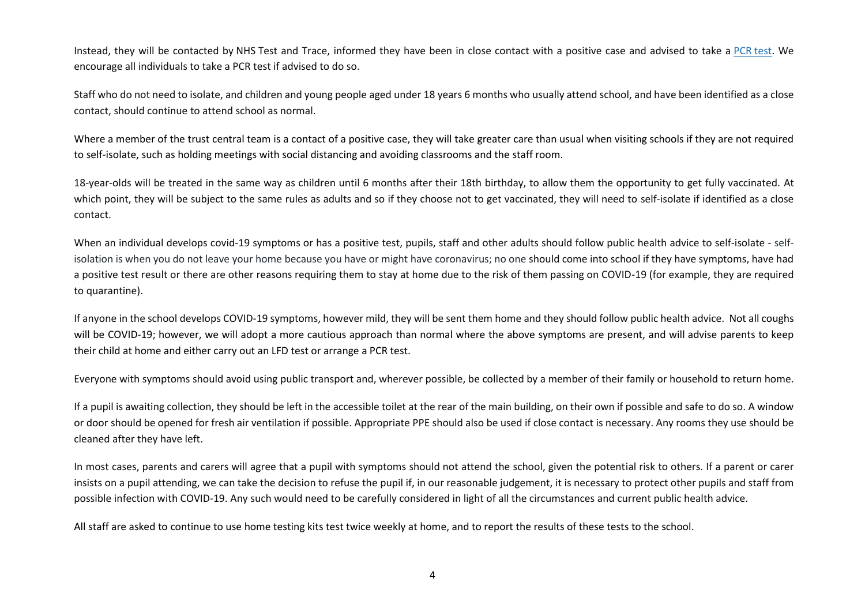Instead, they will be contacted by NHS Test and Trace, informed they have been in close contact with a positive case and advised to take a PCR [test.](https://www.gov.uk/get-coronavirus-test) We encourage all individuals to take a PCR test if advised to do so.

Staff who do not need to isolate, and children and young people aged under 18 years 6 months who usually attend school, and have been identified as a close contact, should continue to attend school as normal.

Where a member of the trust central team is a contact of a positive case, they will take greater care than usual when visiting schools if they are not required to self-isolate, such as holding meetings with social distancing and avoiding classrooms and the staff room.

18-year-olds will be treated in the same way as children until 6 months after their 18th birthday, to allow them the opportunity to get fully vaccinated. At which point, they will be subject to the same rules as adults and so if they choose not to get vaccinated, they will need to self-isolate if identified as a close contact.

When an individual develops covid-19 symptoms or has a positive test, pupils, staff and other adults should follow public health advice to self-isolate - selfisolation is when you do not leave your home because you have or might have coronavirus; no one should come into school if they have symptoms, have had a positive test result or there are other reasons requiring them to stay at home due to the risk of them passing on COVID-19 (for example, they are required to quarantine).

If anyone in the school develops COVID-19 symptoms, however mild, they will be sent them home and they should follow public health advice. Not all coughs will be COVID-19; however, we will adopt a more cautious approach than normal where the above symptoms are present, and will advise parents to keep their child at home and either carry out an LFD test or arrange a PCR test.

Everyone with symptoms should avoid using public transport and, wherever possible, be collected by a member of their family or household to return home.

If a pupil is awaiting collection, they should be left in the accessible toilet at the rear of the main building, on their own if possible and safe to do so. A window or door should be opened for fresh air ventilation if possible. Appropriate PPE should also be used if close contact is necessary. Any rooms they use should be cleaned after they have left.

In most cases, parents and carers will agree that a pupil with symptoms should not attend the school, given the potential risk to others. If a parent or carer insists on a pupil attending, we can take the decision to refuse the pupil if, in our reasonable judgement, it is necessary to protect other pupils and staff from possible infection with COVID-19. Any such would need to be carefully considered in light of all the circumstances and current public health advice.

All staff are asked to continue to use home testing kits test twice weekly at home, and to report the results of these tests to the school.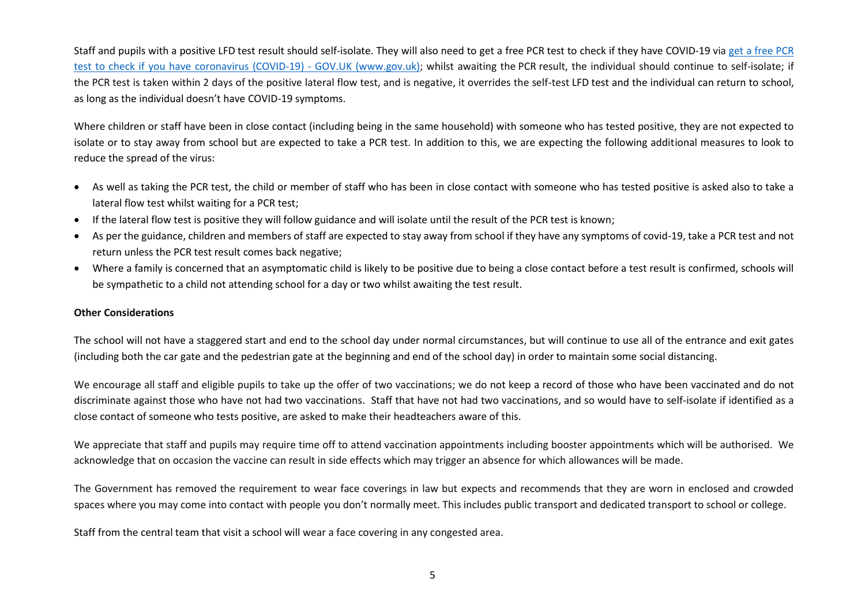Staff and pupils with a positive LFD test result should self-isolate. They will also need to get a free PCR test to check if they have [COVID-19](https://www.gov.uk/get-coronavirus-test) via get a free PCR test to check if you have coronavirus (COVID-19) - GOV.UK (www.gov.uk); whilst awaiting the PCR result, the individual should continue to self-isolate; if the PCR test is taken within 2 days of the positive lateral flow test, and is negative, it overrides the self-test LFD test and the individual can return to school, as long as the individual doesn't have COVID-19 symptoms.

Where children or staff have been in close contact (including being in the same household) with someone who has tested positive, they are not expected to isolate or to stay away from school but are expected to take a PCR test. In addition to this, we are expecting the following additional measures to look to reduce the spread of the virus:

- As well as taking the PCR test, the child or member of staff who has been in close contact with someone who has tested positive is asked also to take a lateral flow test whilst waiting for a PCR test;
- If the lateral flow test is positive they will follow guidance and will isolate until the result of the PCR test is known;
- As per the guidance, children and members of staff are expected to stay away from school if they have any symptoms of covid-19, take a PCR test and not return unless the PCR test result comes back negative;
- Where a family is concerned that an asymptomatic child is likely to be positive due to being a close contact before a test result is confirmed, schools will be sympathetic to a child not attending school for a day or two whilst awaiting the test result.

### **Other Considerations**

The school will not have a staggered start and end to the school day under normal circumstances, but will continue to use all of the entrance and exit gates (including both the car gate and the pedestrian gate at the beginning and end of the school day) in order to maintain some social distancing.

We encourage all staff and eligible pupils to take up the offer of two vaccinations; we do not keep a record of those who have been vaccinated and do not discriminate against those who have not had two vaccinations. Staff that have not had two vaccinations, and so would have to self-isolate if identified as a close contact of someone who tests positive, are asked to make their headteachers aware of this.

We appreciate that staff and pupils may require time off to attend vaccination appointments including booster appointments which will be authorised. We acknowledge that on occasion the vaccine can result in side effects which may trigger an absence for which allowances will be made.

The Government has removed the requirement to wear face coverings in law but expects and recommends that they are worn in enclosed and crowded spaces where you may come into contact with people you don't normally meet. This includes public transport and dedicated transport to school or college.

Staff from the central team that visit a school will wear a face covering in any congested area.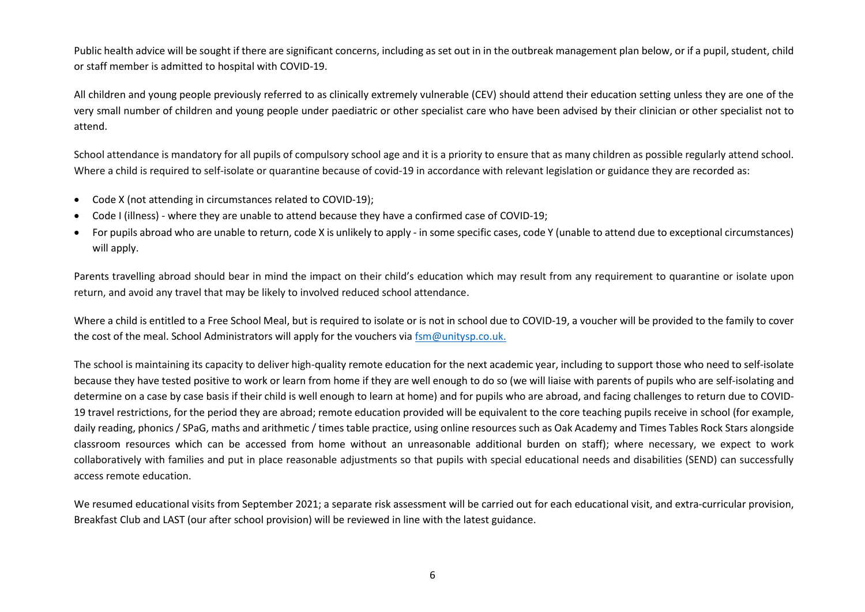Public health advice will be sought if there are significant concerns, including as set out in in the outbreak management plan below, or if a pupil, student, child or staff member is admitted to hospital with COVID-19.

All children and young people previously referred to as clinically extremely vulnerable (CEV) should attend their education setting unless they are one of the very small number of children and young people under paediatric or other specialist care who have been advised by their clinician or other specialist not to attend.

School attendance is mandatory for all pupils of compulsory school age and it is a priority to ensure that as many children as possible regularly attend school. Where a child is required to self-isolate or quarantine because of covid-19 in accordance with relevant legislation or guidance they are recorded as:

- Code X (not attending in circumstances related to COVID-19);
- Code I (illness) where they are unable to attend because they have a confirmed case of COVID-19;
- For pupils abroad who are unable to return, code X is unlikely to apply in some specific cases, code Y (unable to attend due to exceptional circumstances) will apply.

Parents travelling abroad should bear in mind the impact on their child's education which may result from any requirement to quarantine or isolate upon return, and avoid any travel that may be likely to involved reduced school attendance.

Where a child is entitled to a Free School Meal, but is required to isolate or is not in school due to COVID-19, a voucher will be provided to the family to cover the cost of the meal. School Administrators will apply for the vouchers via [fsm@unitysp.co.uk.](mailto:fsm@unitysp.co.uk)

The school is maintaining its capacity to deliver high-quality remote education for the next academic year, including to support those who need to self-isolate because they have tested positive to work or learn from home if they are well enough to do so (we will liaise with parents of pupils who are self-isolating and determine on a case by case basis if their child is well enough to learn at home) and for pupils who are abroad, and facing challenges to return due to COVID-19 travel restrictions, for the period they are abroad; remote education provided will be equivalent to the core teaching pupils receive in school (for example, daily reading, phonics / SPaG, maths and arithmetic / times table practice, using online resources such as Oak Academy and Times Tables Rock Stars alongside classroom resources which can be accessed from home without an unreasonable additional burden on staff); where necessary, we expect to work collaboratively with families and put in place reasonable adjustments so that pupils with special educational needs and disabilities (SEND) can successfully access remote education.

We resumed educational visits from September 2021; a separate risk assessment will be carried out for each educational visit, and extra-curricular provision, Breakfast Club and LAST (our after school provision) will be reviewed in line with the latest guidance.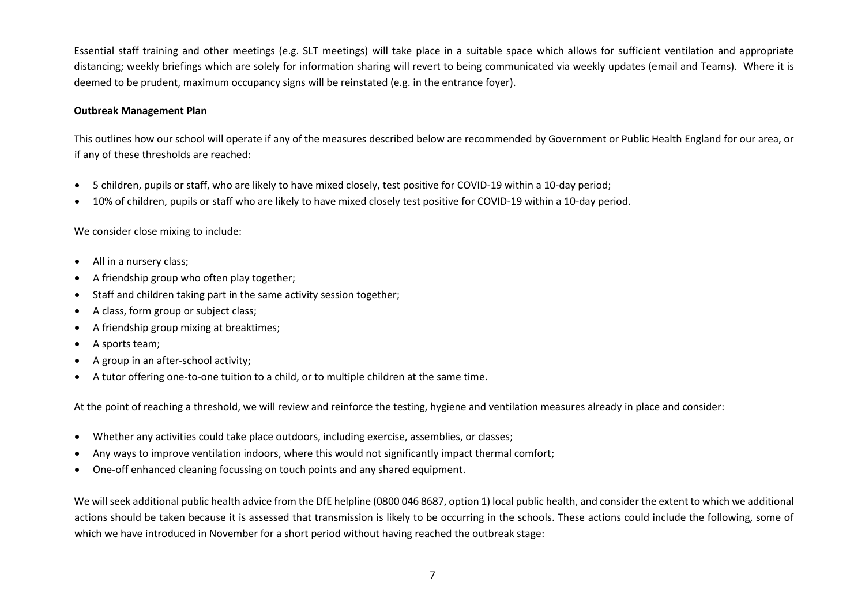Essential staff training and other meetings (e.g. SLT meetings) will take place in a suitable space which allows for sufficient ventilation and appropriate distancing; weekly briefings which are solely for information sharing will revert to being communicated via weekly updates (email and Teams). Where it is deemed to be prudent, maximum occupancy signs will be reinstated (e.g. in the entrance foyer).

### **Outbreak Management Plan**

This outlines how our school will operate if any of the measures described below are recommended by Government or Public Health England for our area, or if any of these thresholds are reached:

- 5 children, pupils or staff, who are likely to have mixed closely, test positive for COVID-19 within a 10-day period;
- 10% of children, pupils or staff who are likely to have mixed closely test positive for COVID-19 within a 10-day period.

We consider close mixing to include:

- All in a nursery class;
- A friendship group who often play together;
- Staff and children taking part in the same activity session together;
- A class, form group or subject class;
- A friendship group mixing at breaktimes;
- A sports team:
- A group in an after-school activity;
- A tutor offering one-to-one tuition to a child, or to multiple children at the same time.

At the point of reaching a threshold, we will review and reinforce the testing, hygiene and ventilation measures already in place and consider:

- Whether any activities could take place outdoors, including exercise, assemblies, or classes;
- Any ways to improve ventilation indoors, where this would not significantly impact thermal comfort;
- One-off enhanced cleaning focussing on touch points and any shared equipment.

We will seek additional public health advice from the DfE helpline (0800 046 8687, option 1) local public health, and consider the extent to which we additional actions should be taken because it is assessed that transmission is likely to be occurring in the schools. These actions could include the following, some of which we have introduced in November for a short period without having reached the outbreak stage: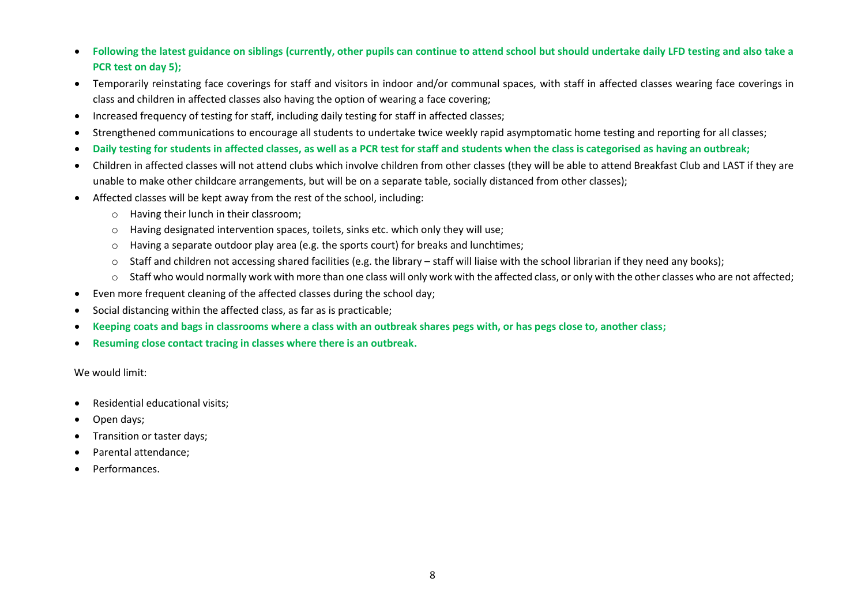- **Following the latest guidance on siblings (currently, other pupils can continue to attend school but should undertake daily LFD testing and also take a PCR test on day 5);**
- Temporarily reinstating face coverings for staff and visitors in indoor and/or communal spaces, with staff in affected classes wearing face coverings in class and children in affected classes also having the option of wearing a face covering;
- Increased frequency of testing for staff, including daily testing for staff in affected classes;
- Strengthened communications to encourage all students to undertake twice weekly rapid asymptomatic home testing and reporting for all classes;
- **Daily testing for students in affected classes, as well as a PCR test for staff and students when the class is categorised as having an outbreak;**
- Children in affected classes will not attend clubs which involve children from other classes (they will be able to attend Breakfast Club and LAST if they are unable to make other childcare arrangements, but will be on a separate table, socially distanced from other classes);
- Affected classes will be kept away from the rest of the school, including:
	- o Having their lunch in their classroom;
	- $\circ$  Having designated intervention spaces, toilets, sinks etc. which only they will use;
	- $\circ$  Having a separate outdoor play area (e.g. the sports court) for breaks and lunchtimes;
	- $\circ$  Staff and children not accessing shared facilities (e.g. the library staff will liaise with the school librarian if they need any books);
	- o Staff who would normally work with more than one class will only work with the affected class, or only with the other classes who are not affected;
- Even more frequent cleaning of the affected classes during the school day;
- Social distancing within the affected class, as far as is practicable;
- **Keeping coats and bags in classrooms where a class with an outbreak shares pegs with, or has pegs close to, another class;**
- **Resuming close contact tracing in classes where there is an outbreak.**

We would limit:

- Residential educational visits;
- Open days;
- Transition or taster days;
- Parental attendance;
- Performances.